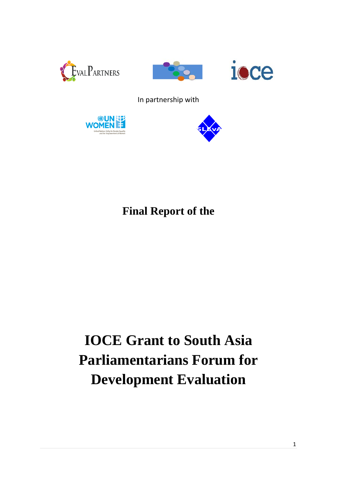





# In partnership with





# **Final Report of the**

# **IOCE Grant to South Asia Parliamentarians Forum for Development Evaluation**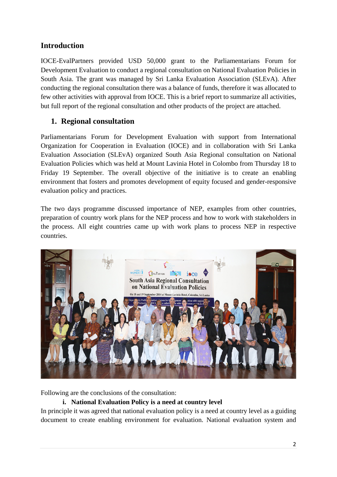# **Introduction**

IOCE-EvalPartners provided USD 50,000 grant to the Parliamentarians Forum for Development Evaluation to conduct a regional consultation on National Evaluation Policies in South Asia. The grant was managed by Sri Lanka Evaluation Association (SLEvA). After conducting the regional consultation there was a balance of funds, therefore it was allocated to few other activities with approval from IOCE. This is a brief report to summarize all activities, but full report of the regional consultation and other products of the project are attached.

### **1. Regional consultation**

Parliamentarians Forum for Development Evaluation with support from International Organization for Cooperation in Evaluation (IOCE) and in collaboration with Sri Lanka Evaluation Association (SLEvA) organized South Asia Regional consultation on National Evaluation Policies which was held at Mount Lavinia Hotel in Colombo from Thursday 18 to Friday 19 September. The overall objective of the initiative is to create an enabling environment that fosters and promotes development of equity focused and gender-responsive evaluation policy and practices.

The two days programme discussed importance of NEP, examples from other countries, preparation of country work plans for the NEP process and how to work with stakeholders in the process. All eight countries came up with work plans to process NEP in respective countries.



Following are the conclusions of the consultation:

#### **i. National Evaluation Policy is a need at country level**

In principle it was agreed that national evaluation policy is a need at country level as a guiding document to create enabling environment for evaluation. National evaluation system and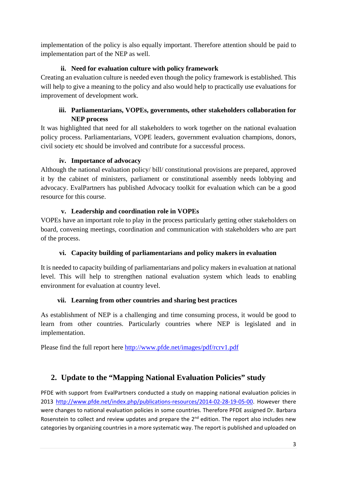implementation of the policy is also equally important. Therefore attention should be paid to implementation part of the NEP as well.

#### **ii. Need for evaluation culture with policy framework**

Creating an evaluation culture is needed even though the policy framework is established. This will help to give a meaning to the policy and also would help to practically use evaluations for improvement of development work.

#### **iii. Parliamentarians, VOPEs, governments, other stakeholders collaboration for NEP process**

It was highlighted that need for all stakeholders to work together on the national evaluation policy process. Parliamentarians, VOPE leaders, government evaluation champions, donors, civil society etc should be involved and contribute for a successful process.

#### **iv. Importance of advocacy**

Although the national evaluation policy/ bill/ constitutional provisions are prepared, approved it by the cabinet of ministers, parliament or constitutional assembly needs lobbying and advocacy. EvalPartners has published Advocacy toolkit for evaluation which can be a good resource for this course.

#### **v. Leadership and coordination role in VOPEs**

VOPEs have an important role to play in the process particularly getting other stakeholders on board, convening meetings, coordination and communication with stakeholders who are part of the process.

#### **vi. Capacity building of parliamentarians and policy makers in evaluation**

It is needed to capacity building of parliamentarians and policy makers in evaluation at national level. This will help to strengthen national evaluation system which leads to enabling environment for evaluation at country level.

#### **vii. Learning from other countries and sharing best practices**

As establishment of NEP is a challenging and time consuming process, it would be good to learn from other countries. Particularly countries where NEP is legislated and in implementation.

Please find the full report here<http://www.pfde.net/images/pdf/rcrv1.pdf>

# **2. Update to the "Mapping National Evaluation Policies" study**

PFDE with support from EvalPartners conducted a study on mapping national evaluation policies in 2013 [http://www.pfde.net/index.php/publications-resources/2014-02-28-19-05-00.](http://www.pfde.net/index.php/publications-resources/2014-02-28-19-05-00) However there were changes to national evaluation policies in some countries. Therefore PFDE assigned Dr. Barbara Rosenstein to collect and review updates and prepare the 2<sup>nd</sup> edition. The report also includes new categories by organizing countries in a more systematic way. The report is published and uploaded on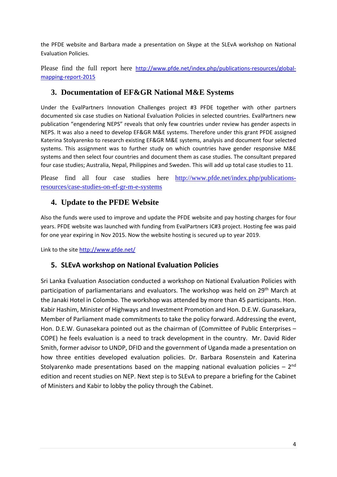the PFDE website and Barbara made a presentation on Skype at the SLEvA workshop on National Evaluation Policies.

Please find the full report here [http://www.pfde.net/index.php/publications-resources/global](http://www.pfde.net/index.php/publications-resources/global-mapping-report-2015)[mapping-report-2015](http://www.pfde.net/index.php/publications-resources/global-mapping-report-2015)

#### **3. Documentation of EF&GR National M&E Systems**

Under the EvalPartners Innovation Challenges project #3 PFDE together with other partners documented six case studies on National Evaluation Policies in selected countries. EvalPartners new publication "engendering NEPS" reveals that only few countries under review has gender aspects in NEPS. It was also a need to develop EF&GR M&E systems. Therefore under this grant PFDE assigned Katerina Stolyarenko to research existing EF&GR M&E systems, analysis and document four selected systems. This assignment was to further study on which countries have gender responsive M&E systems and then select four countries and document them as case studies. The consultant prepared four case studies; Australia, Nepal, Philippines and Sweden. This will add up total case studies to 11.

Please find all four case studies here [http://www.pfde.net/index.php/publications](http://www.pfde.net/index.php/publications-resources/case-studies-on-ef-gr-m-e-systems)[resources/case-studies-on-ef-gr-m-e-systems](http://www.pfde.net/index.php/publications-resources/case-studies-on-ef-gr-m-e-systems)

# **4. Update to the PFDE Website**

Also the funds were used to improve and update the PFDE website and pay hosting charges for four years. PFDE website was launched with funding from EvalPartners IC#3 project. Hosting fee was paid for one year expiring in Nov 2015. Now the website hosting is secured up to year 2019.

Link to the site<http://www.pfde.net/>

#### **5. SLEvA workshop on National Evaluation Policies**

Sri Lanka Evaluation Association conducted a workshop on National Evaluation Policies with participation of parliamentarians and evaluators. The workshop was held on 29<sup>th</sup> March at the Janaki Hotel in Colombo. The workshop was attended by more than 45 participants. Hon. Kabir Hashim, Minister of Highways and Investment Promotion and Hon. D.E.W. Gunasekara, Member of Parliament made commitments to take the policy forward. Addressing the event, Hon. D.E.W. Gunasekara pointed out as the chairman of (Committee of Public Enterprises – COPE) he feels evaluation is a need to track development in the country. Mr. David Rider Smith, former advisor to UNDP, DFID and the government of Uganda made a presentation on how three entities developed evaluation policies. Dr. Barbara Rosenstein and Katerina Stolyarenko made presentations based on the mapping national evaluation policies  $-2^{nd}$ edition and recent studies on NEP. Next step is to SLEvA to prepare a briefing for the Cabinet of Ministers and Kabir to lobby the policy through the Cabinet.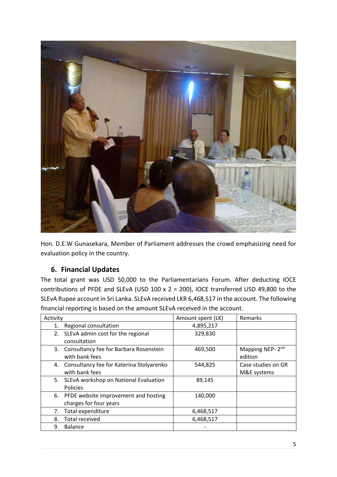

Hon. D.E.W Gunasekara, Member of Parliament addresses the crowd emphasizing need for evaluation policy in the country.

#### **6. Financial Updates**

The total grant was USD 50,000 to the Parliamentarians Forum. After deducting IOCE contributions of PFDE and SLEvA (USD 100 x 2 = 200), IOCE transferred USD 49,800 to the SLEvA Rupee account in Sri Lanka. SLEvA received LKR 6,468,517 in the account. The following financial reporting is based on the amount SLEvA received in the account.

| Activity |                                                                   | Amount spent (LK) | Remarks                                |
|----------|-------------------------------------------------------------------|-------------------|----------------------------------------|
| 1.       | Regional consultation                                             | 4,895,217         |                                        |
| 2.       | SLEvA admin cost for the regional<br>consultation                 | 329,830           |                                        |
| 3.       | Consultancy fee for Barbara Rosenstein<br>with bank fees          | 469,500           | Mapping NEP-2 <sup>nd</sup><br>edition |
| 4.       | Consultancy fee for Katerina Stolyarenko<br>with bank fees        | 544,825           | Case studies on GR<br>M&E systems      |
| 5.       | SLEvA workshop on National Evaluation<br>Policies                 | 89,145            |                                        |
|          | 6. PFDE website improvement and hosting<br>charges for four years | 140,000           |                                        |
| 7.       | Total expenditure                                                 | 6,468,517         |                                        |
| 8.       | <b>Total received</b>                                             | 6,468,517         |                                        |
| 9.       | <b>Balance</b>                                                    |                   |                                        |